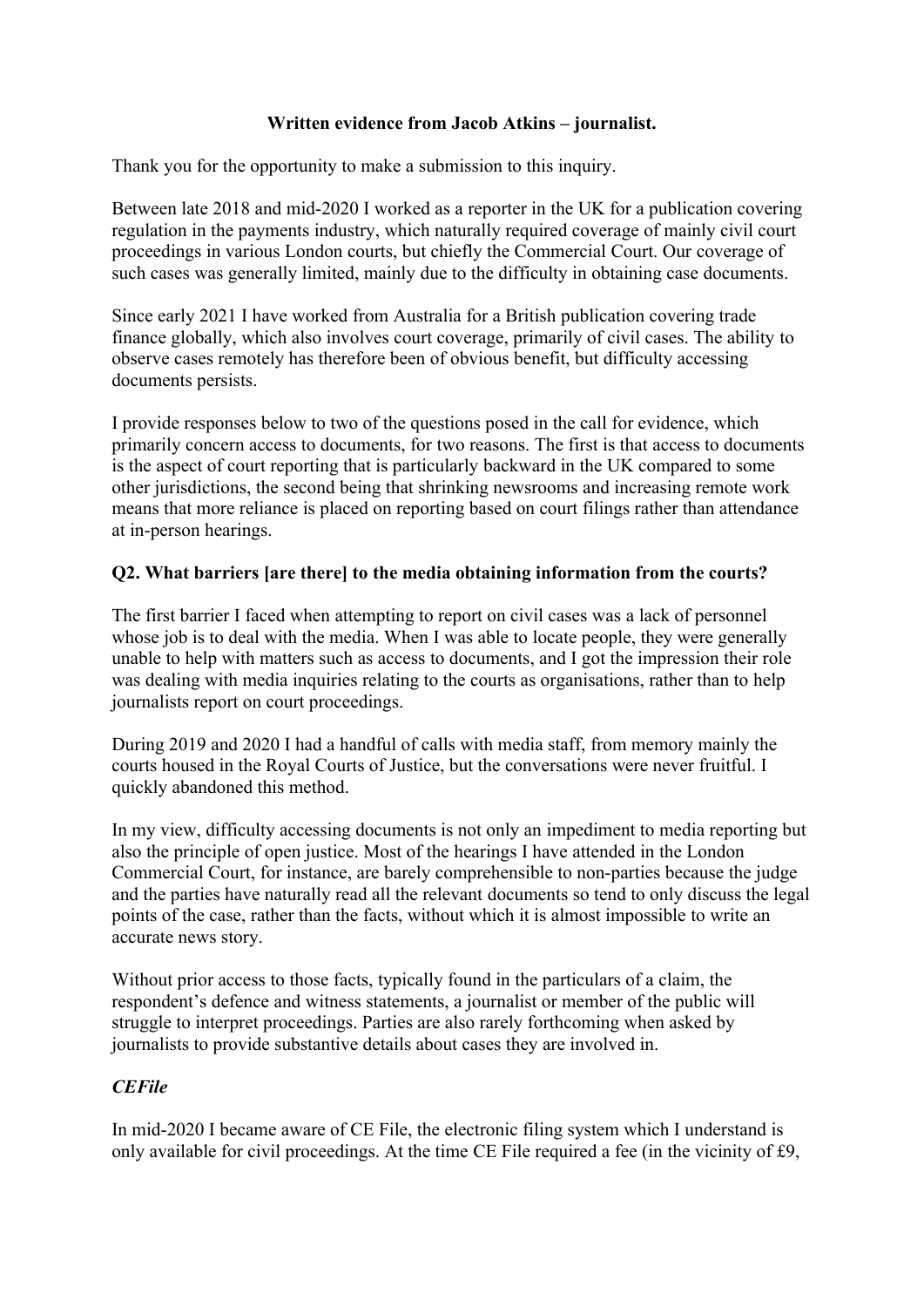## **Written evidence from Jacob Atkins – journalist.**

Thank you for the opportunity to make a submission to this inquiry.

Between late 2018 and mid-2020 I worked as a reporter in the UK for a publication covering regulation in the payments industry, which naturally required coverage of mainly civil court proceedings in various London courts, but chiefly the Commercial Court. Our coverage of such cases was generally limited, mainly due to the difficulty in obtaining case documents.

Since early 2021 I have worked from Australia for a British publication covering trade finance globally, which also involves court coverage, primarily of civil cases. The ability to observe cases remotely has therefore been of obvious benefit, but difficulty accessing documents persists.

I provide responses below to two of the questions posed in the call for evidence, which primarily concern access to documents, for two reasons. The first is that access to documents is the aspect of court reporting that is particularly backward in the UK compared to some other jurisdictions, the second being that shrinking newsrooms and increasing remote work means that more reliance is placed on reporting based on court filings rather than attendance at in-person hearings.

## **Q2. What barriers [are there] to the media obtaining information from the courts?**

The first barrier I faced when attempting to report on civil cases was a lack of personnel whose job is to deal with the media. When I was able to locate people, they were generally unable to help with matters such as access to documents, and I got the impression their role was dealing with media inquiries relating to the courts as organisations, rather than to help journalists report on court proceedings.

During 2019 and 2020 I had a handful of calls with media staff, from memory mainly the courts housed in the Royal Courts of Justice, but the conversations were never fruitful. I quickly abandoned this method.

In my view, difficulty accessing documents is not only an impediment to media reporting but also the principle of open justice. Most of the hearings I have attended in the London Commercial Court, for instance, are barely comprehensible to non-parties because the judge and the parties have naturally read all the relevant documents so tend to only discuss the legal points of the case, rather than the facts, without which it is almost impossible to write an accurate news story.

Without prior access to those facts, typically found in the particulars of a claim, the respondent's defence and witness statements, a journalist or member of the public will struggle to interpret proceedings. Parties are also rarely forthcoming when asked by journalists to provide substantive details about cases they are involved in.

## *CEFile*

In mid-2020 I became aware of CE File, the electronic filing system which I understand is only available for civil proceedings. At the time CE File required a fee (in the vicinity of £9,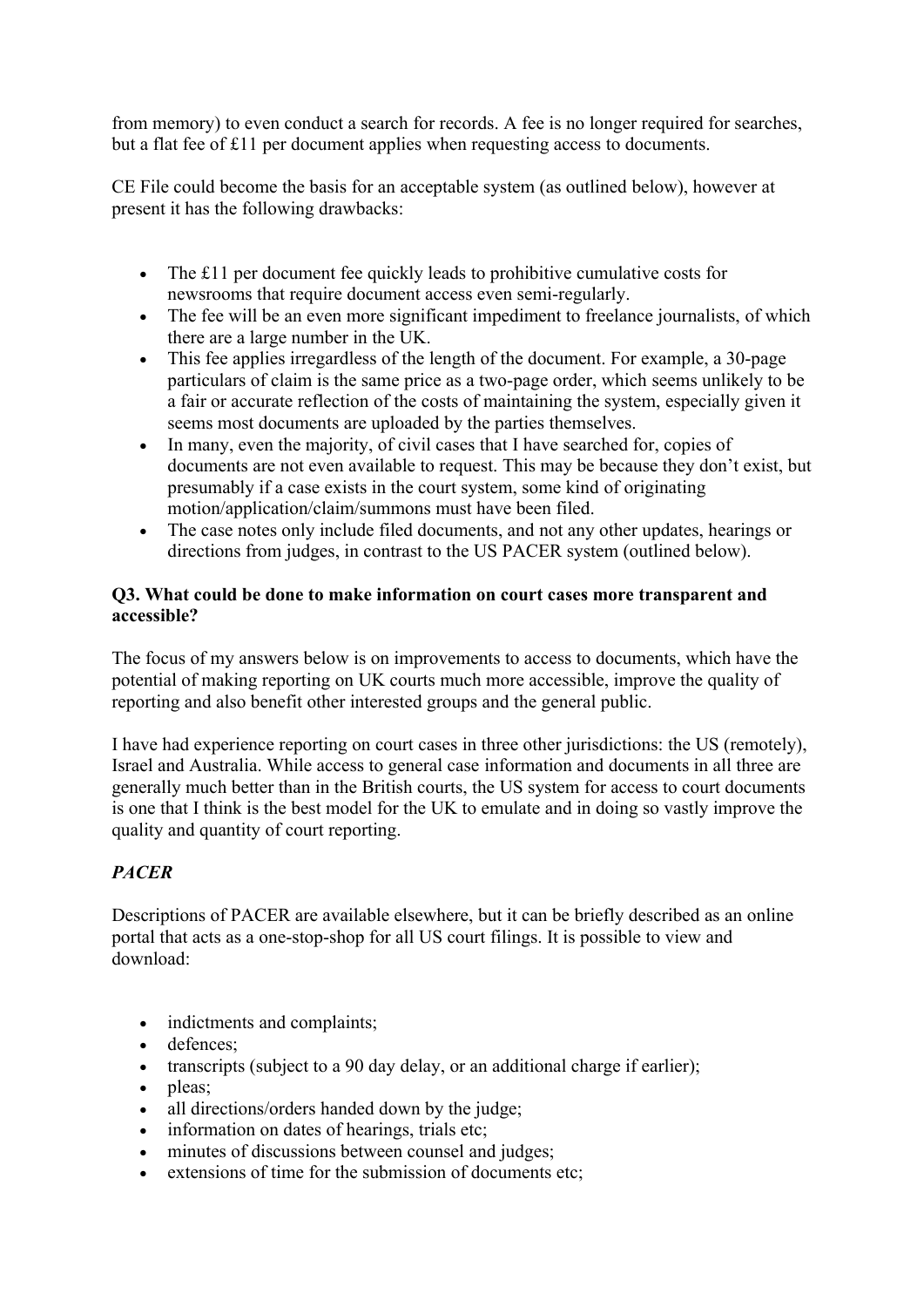from memory) to even conduct a search for records. A fee is no longer required for searches, but a flat fee of £11 per document applies when requesting access to documents.

CE File could become the basis for an acceptable system (as outlined below), however at present it has the following drawbacks:

- The £11 per document fee quickly leads to prohibitive cumulative costs for newsrooms that require document access even semi-regularly.
- The fee will be an even more significant impediment to freelance journalists, of which there are a large number in the UK.
- This fee applies irregardless of the length of the document. For example, a 30-page particulars of claim is the same price as a two-page order, which seems unlikely to be a fair or accurate reflection of the costs of maintaining the system, especially given it seems most documents are uploaded by the parties themselves.
- In many, even the majority, of civil cases that I have searched for, copies of documents are not even available to request. This may be because they don't exist, but presumably if a case exists in the court system, some kind of originating motion/application/claim/summons must have been filed.
- The case notes only include filed documents, and not any other updates, hearings or directions from judges, in contrast to the US PACER system (outlined below).

## **Q3. What could be done to make information on court cases more transparent and accessible?**

The focus of my answers below is on improvements to access to documents, which have the potential of making reporting on UK courts much more accessible, improve the quality of reporting and also benefit other interested groups and the general public.

I have had experience reporting on court cases in three other jurisdictions: the US (remotely), Israel and Australia. While access to general case information and documents in all three are generally much better than in the British courts, the US system for access to court documents is one that I think is the best model for the UK to emulate and in doing so vastly improve the quality and quantity of court reporting.

# *PACER*

Descriptions of PACER are available elsewhere, but it can be briefly described as an online portal that acts as a one-stop-shop for all US court filings. It is possible to view and download:

- indictments and complaints;
- defences:
- transcripts (subject to a 90 day delay, or an additional charge if earlier);
- pleas:
- all directions/orders handed down by the judge;
- information on dates of hearings, trials etc;
- minutes of discussions between counsel and judges;
- extensions of time for the submission of documents etc;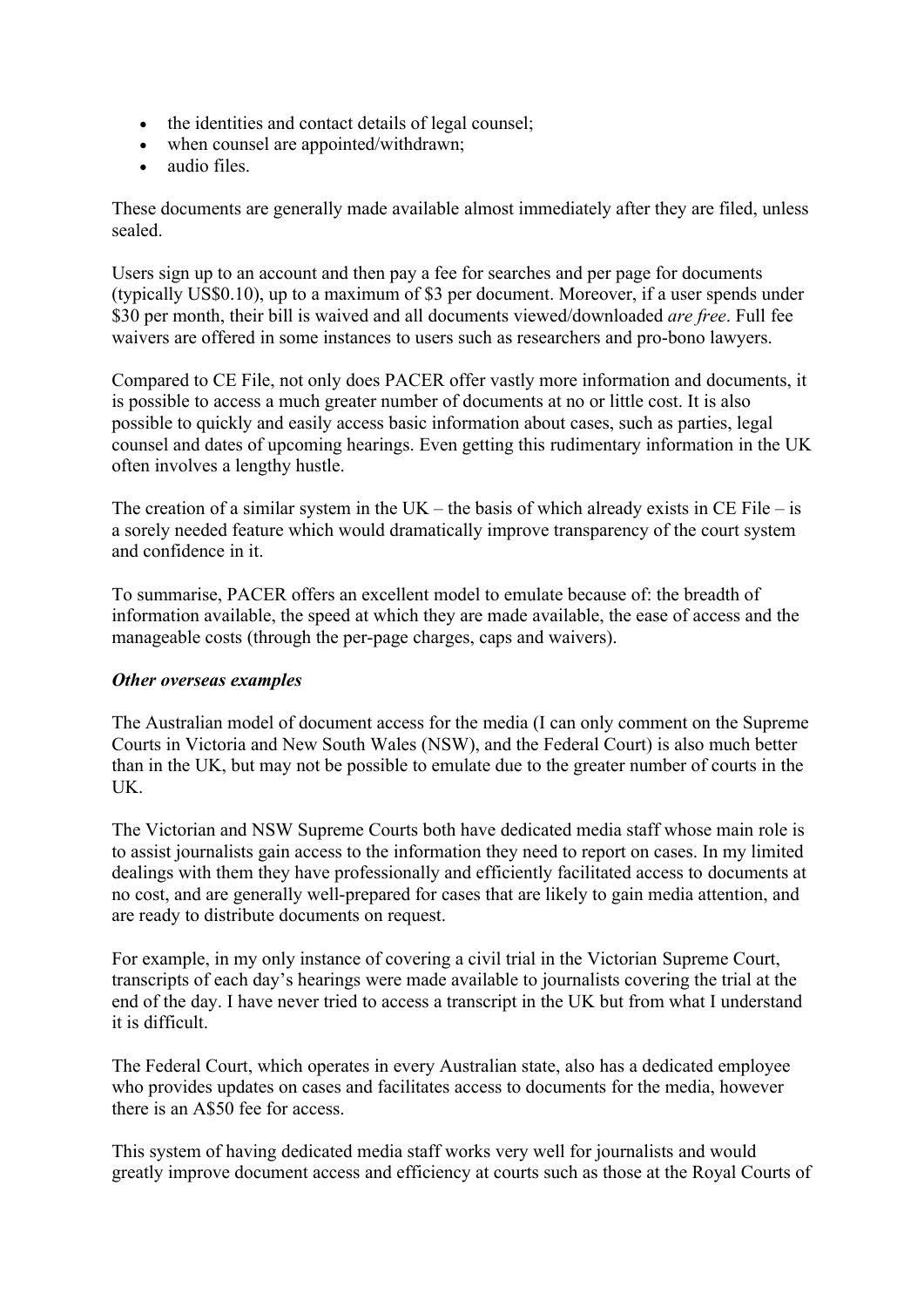- the identities and contact details of legal counsel;
- when counsel are appointed/withdrawn;
- audio files

These documents are generally made available almost immediately after they are filed, unless sealed.

Users sign up to an account and then pay a fee for searches and per page for documents (typically US\$0.10), up to a maximum of \$3 per document. Moreover, if a user spends under \$30 per month, their bill is waived and all documents viewed/downloaded *are free*. Full fee waivers are offered in some instances to users such as researchers and pro-bono lawyers.

Compared to CE File, not only does PACER offer vastly more information and documents, it is possible to access a much greater number of documents at no or little cost. It is also possible to quickly and easily access basic information about cases, such as parties, legal counsel and dates of upcoming hearings. Even getting this rudimentary information in the UK often involves a lengthy hustle.

The creation of a similar system in the  $UK$  – the basis of which already exists in CE File – is a sorely needed feature which would dramatically improve transparency of the court system and confidence in it.

To summarise, PACER offers an excellent model to emulate because of: the breadth of information available, the speed at which they are made available, the ease of access and the manageable costs (through the per-page charges, caps and waivers).

## *Other overseas examples*

The Australian model of document access for the media (I can only comment on the Supreme Courts in Victoria and New South Wales (NSW), and the Federal Court) is also much better than in the UK, but may not be possible to emulate due to the greater number of courts in the UK.

The Victorian and NSW Supreme Courts both have dedicated media staff whose main role is to assist journalists gain access to the information they need to report on cases. In my limited dealings with them they have professionally and efficiently facilitated access to documents at no cost, and are generally well-prepared for cases that are likely to gain media attention, and are ready to distribute documents on request.

For example, in my only instance of covering a civil trial in the Victorian Supreme Court, transcripts of each day's hearings were made available to journalists covering the trial at the end of the day. I have never tried to access a transcript in the UK but from what I understand it is difficult.

The Federal Court, which operates in every Australian state, also has a dedicated employee who provides updates on cases and facilitates access to documents for the media, however there is an A\$50 fee for access.

This system of having dedicated media staff works very well for journalists and would greatly improve document access and efficiency at courts such as those at the Royal Courts of